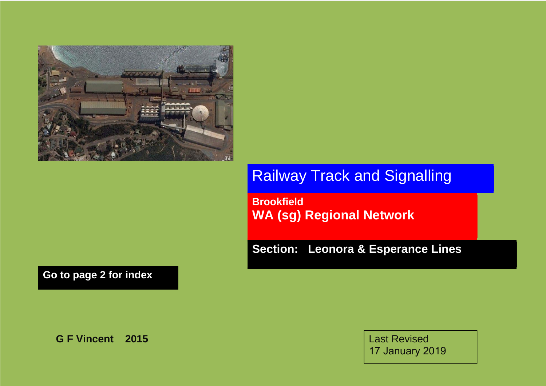

Railway Track and Signalling

**Brookfield WA (sg) Regional Network** 

**Section: Leonora & Esperance Lines** 

**Go to page 2 for index** 

**G F Vincent 2015** 

Last Revised 17 January 2019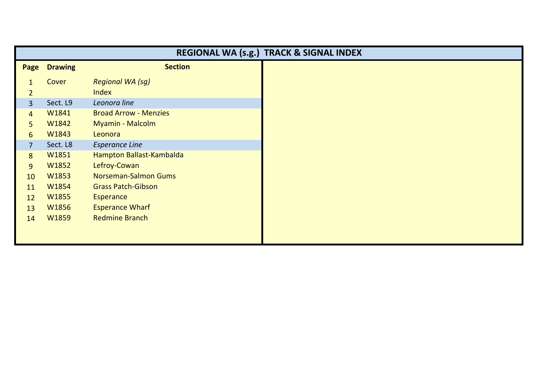| REGIONAL WA (s.g.) TRACK & SIGNAL INDEX |                |                              |  |
|-----------------------------------------|----------------|------------------------------|--|
| Page                                    | <b>Drawing</b> | <b>Section</b>               |  |
|                                         | Cover          | <b>Regional WA (sg)</b>      |  |
| $\overline{2}$                          |                | <b>Index</b>                 |  |
| $\overline{3}$                          | Sect. L9       | Leonora line                 |  |
| $\overline{4}$                          | W1841          | <b>Broad Arrow - Menzies</b> |  |
| 5                                       | W1842          | Myamin - Malcolm             |  |
| 6                                       | W1843          | Leonora                      |  |
| $\overline{7}$                          | Sect. L8       | <b>Esperance Line</b>        |  |
| 8                                       | W1851          | Hampton Ballast-Kambalda     |  |
| 9                                       | W1852          | Lefroy-Cowan                 |  |
| 10                                      | W1853          | <b>Norseman-Salmon Gums</b>  |  |
| 11                                      | W1854          | <b>Grass Patch-Gibson</b>    |  |
| 12                                      | W1855          | <b>Esperance</b>             |  |
| 13                                      | W1856          | <b>Esperance Wharf</b>       |  |
| 14                                      | W1859          | <b>Redmine Branch</b>        |  |
|                                         |                |                              |  |
|                                         |                |                              |  |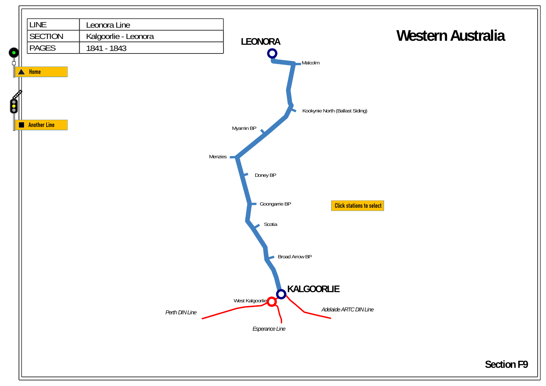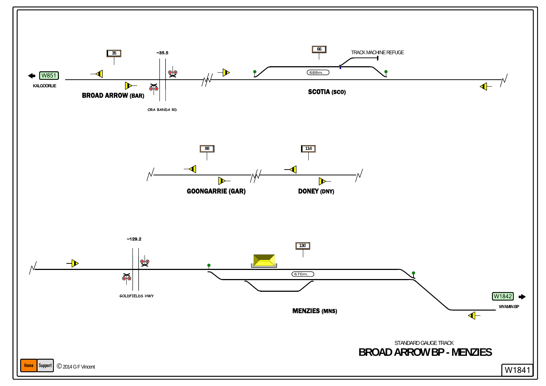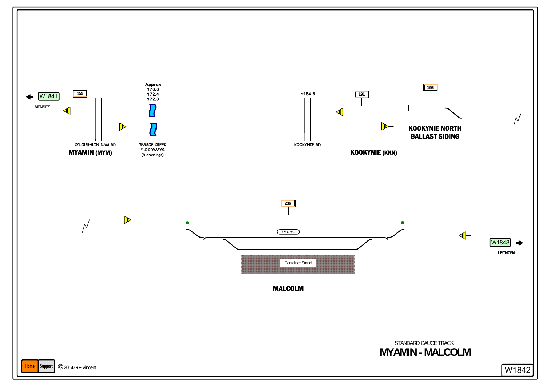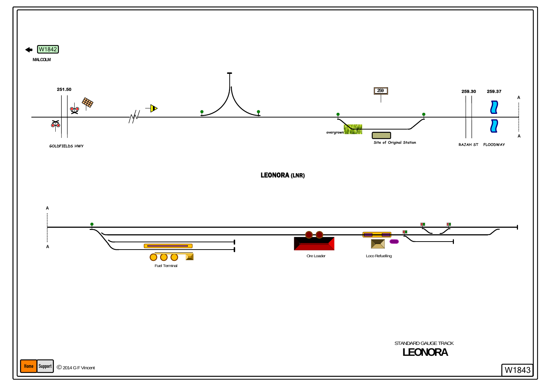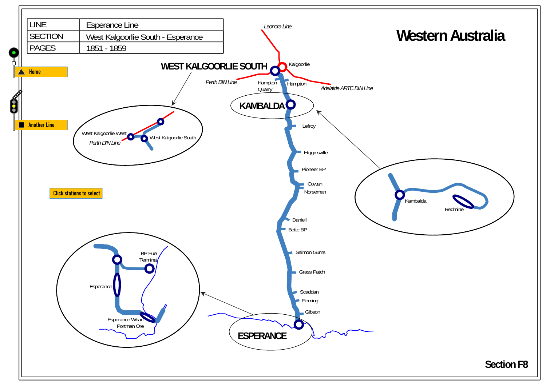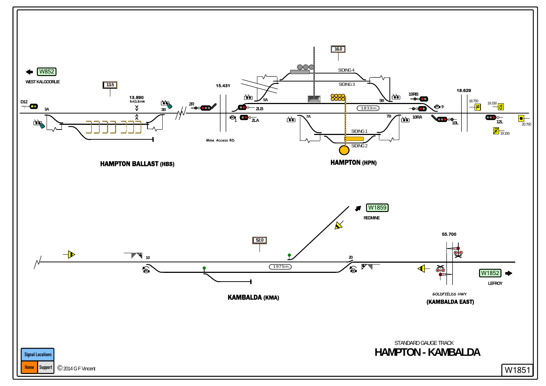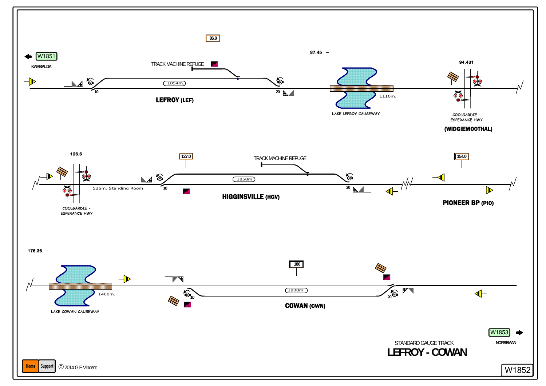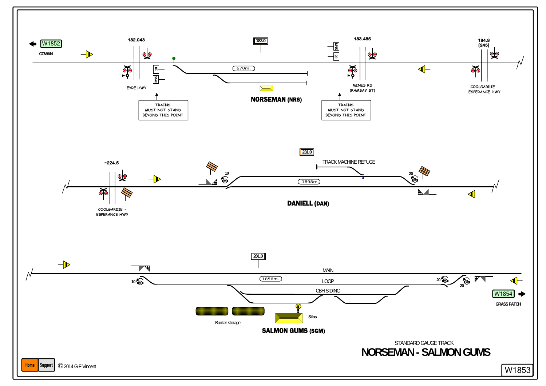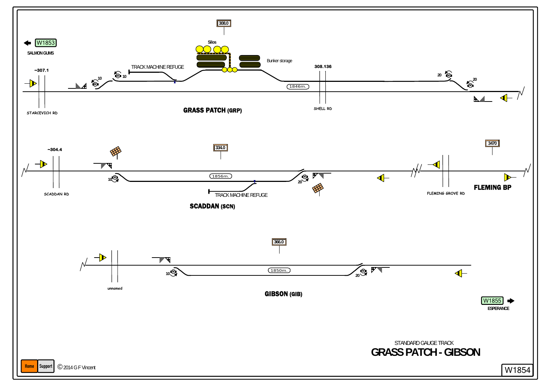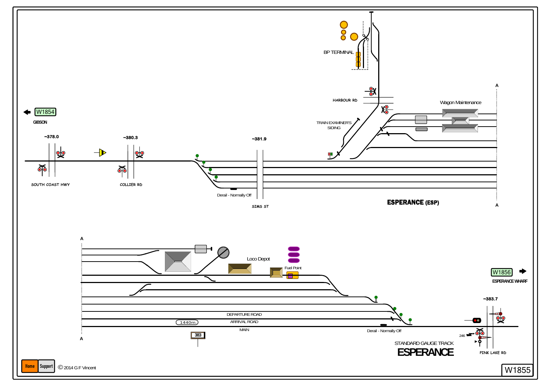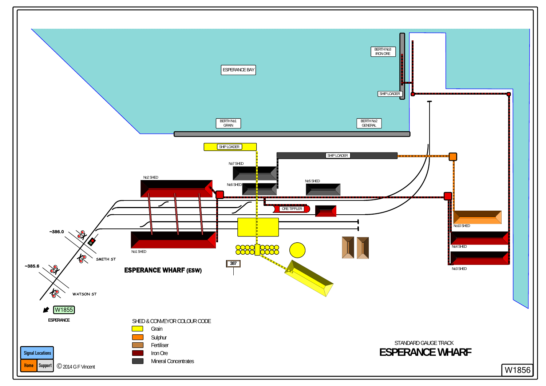